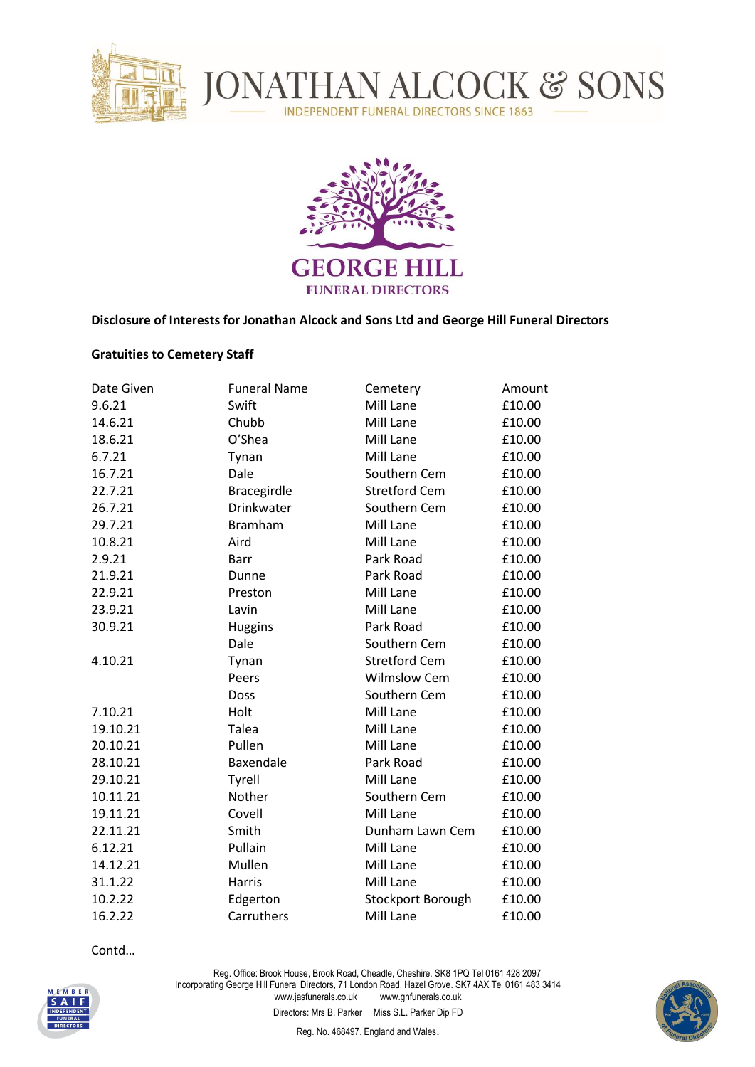



## **Disclosure of Interests for Jonathan Alcock and Sons Ltd and George Hill Funeral Directors**

## **Gratuities to Cemetery Staff**

| Date Given | <b>Funeral Name</b> | Cemetery             | Amount |
|------------|---------------------|----------------------|--------|
| 9.6.21     | Swift               | Mill Lane            | £10.00 |
| 14.6.21    | Chubb               | Mill Lane            | £10.00 |
| 18.6.21    | O'Shea              | Mill Lane            | £10.00 |
| 6.7.21     | Tynan               | Mill Lane            |        |
| 16.7.21    | Dale                | Southern Cem         | £10.00 |
| 22.7.21    | Bracegirdle         | <b>Stretford Cem</b> | £10.00 |
| 26.7.21    | Drinkwater          | Southern Cem         | £10.00 |
| 29.7.21    | <b>Bramham</b>      | Mill Lane            | £10.00 |
| 10.8.21    | Aird                | Mill Lane            | £10.00 |
| 2.9.21     | Barr                | Park Road            | £10.00 |
| 21.9.21    | Dunne               | Park Road            | £10.00 |
| 22.9.21    | Preston             | Mill Lane            | £10.00 |
| 23.9.21    | Lavin               | Mill Lane            | £10.00 |
| 30.9.21    | <b>Huggins</b>      | Park Road            | £10.00 |
|            | Dale                | Southern Cem         | £10.00 |
| 4.10.21    | Tynan               | <b>Stretford Cem</b> | £10.00 |
|            | Peers               | <b>Wilmslow Cem</b>  | £10.00 |
|            | Doss                | Southern Cem         | £10.00 |
| 7.10.21    | Holt                | Mill Lane            | £10.00 |
| 19.10.21   | Talea               | Mill Lane            | £10.00 |
| 20.10.21   | Pullen              | Mill Lane            | £10.00 |
| 28.10.21   | Baxendale           | Park Road            | £10.00 |
| 29.10.21   | Tyrell              | Mill Lane            | £10.00 |
| 10.11.21   | Nother              | Southern Cem         | £10.00 |
| 19.11.21   | Covell              | Mill Lane            | £10.00 |
| 22.11.21   | Smith               | Dunham Lawn Cem      | £10.00 |
| 6.12.21    | Pullain             | Mill Lane            | £10.00 |
| 14.12.21   | Mullen              | Mill Lane            | £10.00 |
| 31.1.22    | Harris              | Mill Lane            | £10.00 |
| 10.2.22    | Edgerton            | Stockport Borough    | £10.00 |
| 16.2.22    | Carruthers          | Mill Lane            | £10.00 |

Contd…

Reg. Office: Brook House, Brook Road, Cheadle, Cheshire. SK8 1PQ Tel 0161 428 2097 Incorporating George Hill Funeral Directors, 71 London Road, Hazel Grove. SK7 4AX Tel 0161 483 3414 www.jasfunerals.co.uk